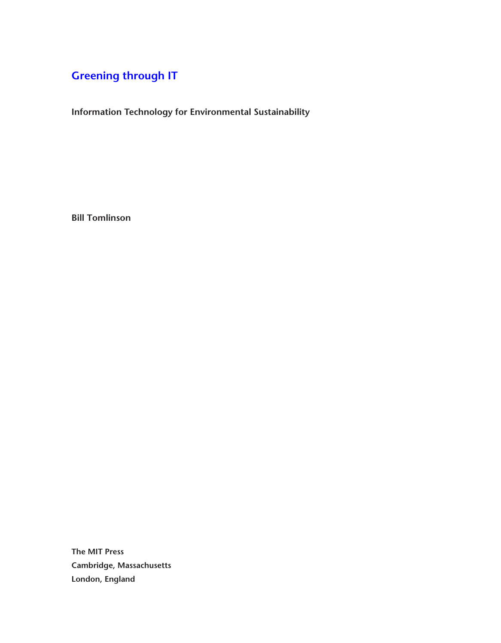# **[Greening through IT](http://mitpress.mit.edu/0262013932)**

**Information Technology for Environmental Sustainability**

**Bill Tomlinson**

**The MIT Press Cambridge, Massachusetts London, England**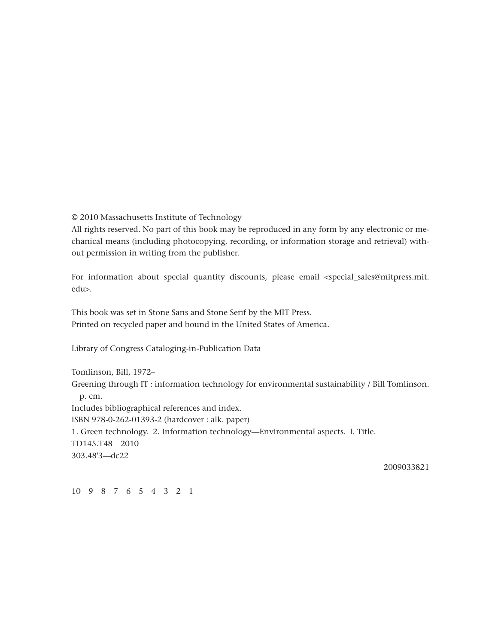© 2010 Massachusetts Institute of Technology

All rights reserved. No part of this book may be reproduced in any form by any electronic or mechanical means (including photocopying, recording, or information storage and retrieval) without permission in writing from the publisher.

For information about special quantity discounts, please email <special\_sales@mitpress.mit. edu>.

This book was set in Stone Sans and Stone Serif by the MIT Press. Printed on recycled paper and bound in the United States of America.

Library of Congress Cataloging-in-Publication Data

Tomlinson, Bill, 1972– Greening through IT : information technology for environmental sustainability / Bill Tomlinson. p. cm. Includes bibliographical references and index. ISBN 978-0-262-01393-2 (hardcover : alk. paper) 1. Green technology. 2. Information technology—Environmental aspects. I. Title. TD145.T48 2010 303.48'3—dc22

2009033821

10 9 8 7 6 5 4 3 2 1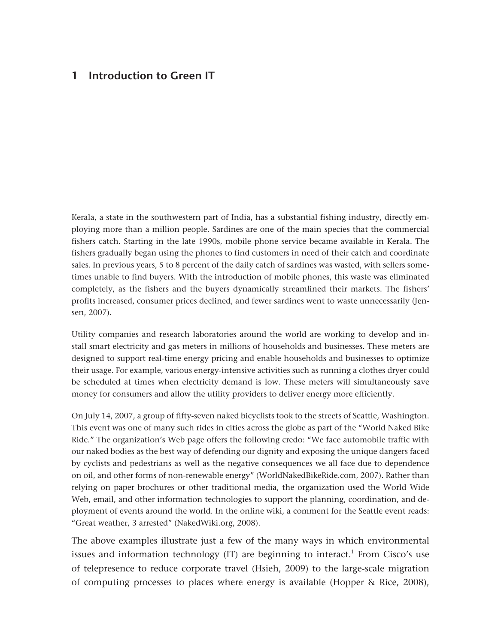# **1 Introduction to Green IT**

Kerala, a state in the southwestern part of India, has a substantial fishing industry, directly employing more than a million people. Sardines are one of the main species that the commercial fishers catch. Starting in the late 1990s, mobile phone service became available in Kerala. The fishers gradually began using the phones to find customers in need of their catch and coordinate sales. In previous years, 5 to 8 percent of the daily catch of sardines was wasted, with sellers sometimes unable to find buyers. With the introduction of mobile phones, this waste was eliminated completely, as the fishers and the buyers dynamically streamlined their markets. The fishers' profits increased, consumer prices declined, and fewer sardines went to waste unnecessarily (Jensen, 2007).

Utility companies and research laboratories around the world are working to develop and install smart electricity and gas meters in millions of households and businesses. These meters are designed to support real-time energy pricing and enable households and businesses to optimize their usage. For example, various energy-intensive activities such as running a clothes dryer could be scheduled at times when electricity demand is low. These meters will simultaneously save money for consumers and allow the utility providers to deliver energy more efficiently.

On July 14, 2007, a group of fifty-seven naked bicyclists took to the streets of Seattle, Washington. This event was one of many such rides in cities across the globe as part of the "World Naked Bike Ride." The organization's Web page offers the following credo: "We face automobile traffic with our naked bodies as the best way of defending our dignity and exposing the unique dangers faced by cyclists and pedestrians as well as the negative consequences we all face due to dependence on oil, and other forms of non-renewable energy" (WorldNakedBikeRide.com, 2007). Rather than relying on paper brochures or other traditional media, the organization used the World Wide Web, email, and other information technologies to support the planning, coordination, and deployment of events around the world. In the online wiki, a comment for the Seattle event reads: "Great weather, 3 arrested" (NakedWiki.org, 2008).

The above examples illustrate just a few of the many ways in which environmental issues and information technology (IT) are beginning to interact.<sup>1</sup> From Cisco's use of telepresence to reduce corporate travel (Hsieh, 2009) to the large-scale migration of computing processes to places where energy is available (Hopper & Rice, 2008),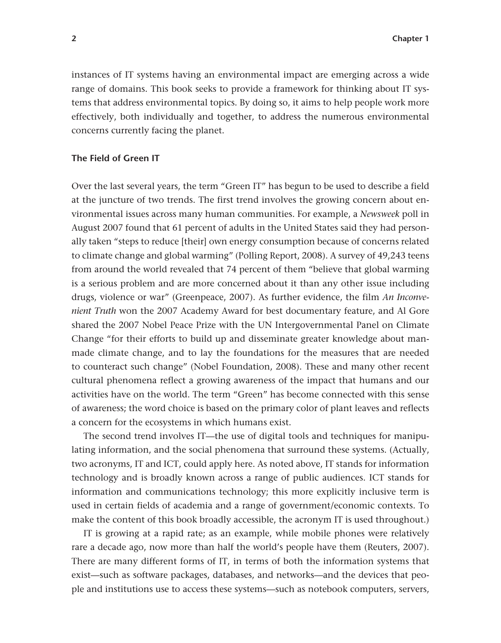instances of IT systems having an environmental impact are emerging across a wide range of domains. This book seeks to provide a framework for thinking about IT systems that address environmental topics. By doing so, it aims to help people work more effectively, both individually and together, to address the numerous environmental concerns currently facing the planet.

# **The Field of Green IT**

Over the last several years, the term "Green IT" has begun to be used to describe a field at the juncture of two trends. The first trend involves the growing concern about environmental issues across many human communities. For example, a *Newsweek* poll in August 2007 found that 61 percent of adults in the United States said they had personally taken "steps to reduce [their] own energy consumption because of concerns related to climate change and global warming" (Polling Report, 2008). A survey of 49,243 teens from around the world revealed that 74 percent of them "believe that global warming is a serious problem and are more concerned about it than any other issue including drugs, violence or war" (Greenpeace, 2007). As further evidence, the film *An Inconvenient Truth* won the 2007 Academy Award for best documentary feature, and Al Gore shared the 2007 Nobel Peace Prize with the UN Intergovernmental Panel on Climate Change "for their efforts to build up and disseminate greater knowledge about manmade climate change, and to lay the foundations for the measures that are needed to counteract such change" (Nobel Foundation, 2008). These and many other recent cultural phenomena reflect a growing awareness of the impact that humans and our activities have on the world. The term "Green" has become connected with this sense of awareness; the word choice is based on the primary color of plant leaves and reflects a concern for the ecosystems in which humans exist.

The second trend involves IT—the use of digital tools and techniques for manipulating information, and the social phenomena that surround these systems. (Actually, two acronyms, IT and ICT, could apply here. As noted above, IT stands for information technology and is broadly known across a range of public audiences. ICT stands for information and communications technology; this more explicitly inclusive term is used in certain fields of academia and a range of government/economic contexts. To make the content of this book broadly accessible, the acronym IT is used throughout.)

IT is growing at a rapid rate; as an example, while mobile phones were relatively rare a decade ago, now more than half the world's people have them (Reuters, 2007). There are many different forms of IT, in terms of both the information systems that exist—such as software packages, databases, and networks—and the devices that people and institutions use to access these systems—such as notebook computers, servers,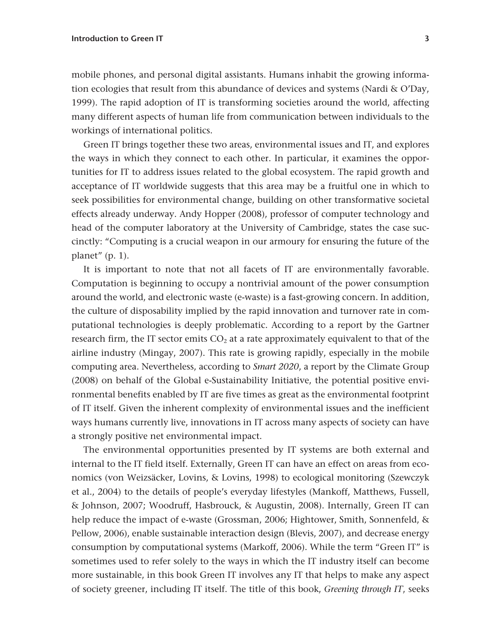mobile phones, and personal digital assistants. Humans inhabit the growing information ecologies that result from this abundance of devices and systems (Nardi & O'Day, 1999). The rapid adoption of IT is transforming societies around the world, affecting many different aspects of human life from communication between individuals to the workings of international politics.

Green IT brings together these two areas, environmental issues and IT, and explores the ways in which they connect to each other. In particular, it examines the opportunities for IT to address issues related to the global ecosystem. The rapid growth and acceptance of IT worldwide suggests that this area may be a fruitful one in which to seek possibilities for environmental change, building on other transformative societal effects already underway. Andy Hopper (2008), professor of computer technology and head of the computer laboratory at the University of Cambridge, states the case succinctly: "Computing is a crucial weapon in our armoury for ensuring the future of the planet" (p. 1).

It is important to note that not all facets of IT are environmentally favorable. Computation is beginning to occupy a nontrivial amount of the power consumption around the world, and electronic waste (e-waste) is a fast-growing concern. In addition, the culture of disposability implied by the rapid innovation and turnover rate in computational technologies is deeply problematic. According to a report by the Gartner research firm, the IT sector emits  $CO<sub>2</sub>$  at a rate approximately equivalent to that of the airline industry (Mingay, 2007). This rate is growing rapidly, especially in the mobile computing area. Nevertheless, according to *Smart 2020*, a report by the Climate Group (2008) on behalf of the Global e-Sustainability Initiative, the potential positive environmental benefits enabled by IT are five times as great as the environmental footprint of IT itself. Given the inherent complexity of environmental issues and the inefficient ways humans currently live, innovations in IT across many aspects of society can have a strongly positive net environmental impact.

The environmental opportunities presented by IT systems are both external and internal to the IT field itself. Externally, Green IT can have an effect on areas from economics (von Weizsäcker, Lovins, & Lovins, 1998) to ecological monitoring (Szewczyk et al., 2004) to the details of people's everyday lifestyles (Mankoff, Matthews, Fussell, & Johnson, 2007; Woodruff, Hasbrouck, & Augustin, 2008). Internally, Green IT can help reduce the impact of e-waste (Grossman, 2006; Hightower, Smith, Sonnenfeld, & Pellow, 2006), enable sustainable interaction design (Blevis, 2007), and decrease energy consumption by computational systems (Markoff, 2006). While the term "Green IT" is sometimes used to refer solely to the ways in which the IT industry itself can become more sustainable, in this book Green IT involves any IT that helps to make any aspect of society greener, including IT itself. The title of this book, *Greening through IT*, seeks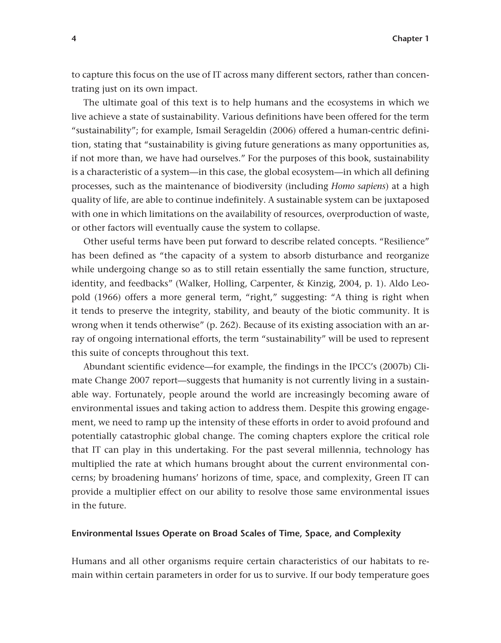to capture this focus on the use of IT across many different sectors, rather than concentrating just on its own impact.

The ultimate goal of this text is to help humans and the ecosystems in which we live achieve a state of sustainability. Various definitions have been offered for the term "sustainability"; for example, Ismail Serageldin (2006) offered a human-centric definition, stating that "sustainability is giving future generations as many opportunities as, if not more than, we have had ourselves." For the purposes of this book, sustainability is a characteristic of a system—in this case, the global ecosystem—in which all defining processes, such as the maintenance of biodiversity (including *Homo sapiens*) at a high quality of life, are able to continue indefinitely. A sustainable system can be juxtaposed with one in which limitations on the availability of resources, overproduction of waste, or other factors will eventually cause the system to collapse.

Other useful terms have been put forward to describe related concepts. "Resilience" has been defined as "the capacity of a system to absorb disturbance and reorganize while undergoing change so as to still retain essentially the same function, structure, identity, and feedbacks" (Walker, Holling, Carpenter, & Kinzig, 2004, p. 1). Aldo Leopold (1966) offers a more general term, "right," suggesting: "A thing is right when it tends to preserve the integrity, stability, and beauty of the biotic community. It is wrong when it tends otherwise" (p. 262). Because of its existing association with an array of ongoing international efforts, the term "sustainability" will be used to represent this suite of concepts throughout this text.

Abundant scientific evidence—for example, the findings in the IPCC's (2007b) Climate Change 2007 report—suggests that humanity is not currently living in a sustainable way. Fortunately, people around the world are increasingly becoming aware of environmental issues and taking action to address them. Despite this growing engagement, we need to ramp up the intensity of these efforts in order to avoid profound and potentially catastrophic global change. The coming chapters explore the critical role that IT can play in this undertaking. For the past several millennia, technology has multiplied the rate at which humans brought about the current environmental concerns; by broadening humans' horizons of time, space, and complexity, Green IT can provide a multiplier effect on our ability to resolve those same environmental issues in the future.

## **Environmental Issues Operate on Broad Scales of Time, Space, and Complexity**

Humans and all other organisms require certain characteristics of our habitats to remain within certain parameters in order for us to survive. If our body temperature goes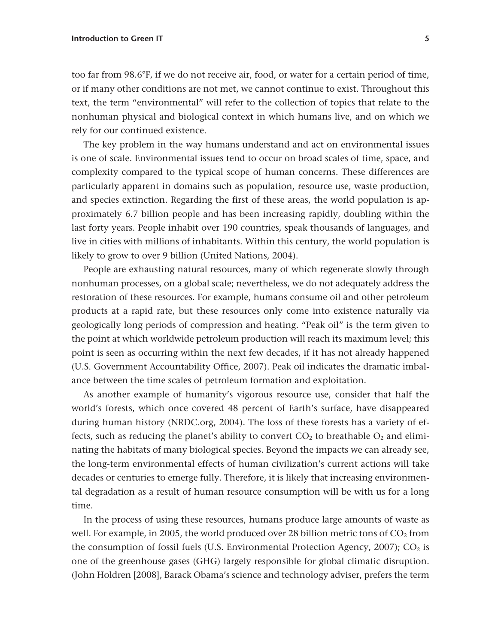too far from 98.6°F, if we do not receive air, food, or water for a certain period of time, or if many other conditions are not met, we cannot continue to exist. Throughout this text, the term "environmental" will refer to the collection of topics that relate to the nonhuman physical and biological context in which humans live, and on which we rely for our continued existence.

The key problem in the way humans understand and act on environmental issues is one of scale. Environmental issues tend to occur on broad scales of time, space, and complexity compared to the typical scope of human concerns. These differences are particularly apparent in domains such as population, resource use, waste production, and species extinction. Regarding the first of these areas, the world population is approximately 6.7 billion people and has been increasing rapidly, doubling within the last forty years. People inhabit over 190 countries, speak thousands of languages, and live in cities with millions of inhabitants. Within this century, the world population is likely to grow to over 9 billion (United Nations, 2004).

People are exhausting natural resources, many of which regenerate slowly through nonhuman processes, on a global scale; nevertheless, we do not adequately address the restoration of these resources. For example, humans consume oil and other petroleum products at a rapid rate, but these resources only come into existence naturally via geologically long periods of compression and heating. "Peak oil" is the term given to the point at which worldwide petroleum production will reach its maximum level; this point is seen as occurring within the next few decades, if it has not already happened (U.S. Government Accountability Office, 2007). Peak oil indicates the dramatic imbalance between the time scales of petroleum formation and exploitation.

As another example of humanity's vigorous resource use, consider that half the world's forests, which once covered 48 percent of Earth's surface, have disappeared during human history (NRDC.org, 2004). The loss of these forests has a variety of effects, such as reducing the planet's ability to convert  $CO<sub>2</sub>$  to breathable  $O<sub>2</sub>$  and eliminating the habitats of many biological species. Beyond the impacts we can already see, the long-term environmental effects of human civilization's current actions will take decades or centuries to emerge fully. Therefore, it is likely that increasing environmental degradation as a result of human resource consumption will be with us for a long time.

In the process of using these resources, humans produce large amounts of waste as well. For example, in 2005, the world produced over 28 billion metric tons of  $CO<sub>2</sub>$  from the consumption of fossil fuels (U.S. Environmental Protection Agency, 2007);  $CO<sub>2</sub>$  is one of the greenhouse gases (GHG) largely responsible for global climatic disruption. (John Holdren [2008], Barack Obama's science and technology adviser, prefers the term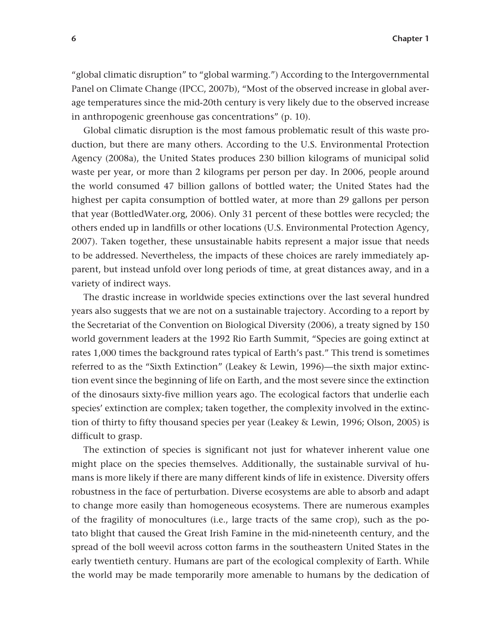"global climatic disruption" to "global warming.") According to the Intergovernmental Panel on Climate Change (IPCC, 2007b), "Most of the observed increase in global average temperatures since the mid-20th century is very likely due to the observed increase in anthropogenic greenhouse gas concentrations" (p. 10).

Global climatic disruption is the most famous problematic result of this waste production, but there are many others. According to the U.S. Environmental Protection Agency (2008a), the United States produces 230 billion kilograms of municipal solid waste per year, or more than 2 kilograms per person per day. In 2006, people around the world consumed 47 billion gallons of bottled water; the United States had the highest per capita consumption of bottled water, at more than 29 gallons per person that year (BottledWater.org, 2006). Only 31 percent of these bottles were recycled; the others ended up in landfills or other locations (U.S. Environmental Protection Agency, 2007). Taken together, these unsustainable habits represent a major issue that needs to be addressed. Nevertheless, the impacts of these choices are rarely immediately apparent, but instead unfold over long periods of time, at great distances away, and in a variety of indirect ways.

The drastic increase in worldwide species extinctions over the last several hundred years also suggests that we are not on a sustainable trajectory. According to a report by the Secretariat of the Convention on Biological Diversity (2006), a treaty signed by 150 world government leaders at the 1992 Rio Earth Summit, "Species are going extinct at rates 1,000 times the background rates typical of Earth's past." This trend is sometimes referred to as the "Sixth Extinction" (Leakey & Lewin, 1996)—the sixth major extinction event since the beginning of life on Earth, and the most severe since the extinction of the dinosaurs sixty-five million years ago. The ecological factors that underlie each species' extinction are complex; taken together, the complexity involved in the extinction of thirty to fifty thousand species per year (Leakey & Lewin, 1996; Olson, 2005) is difficult to grasp.

The extinction of species is significant not just for whatever inherent value one might place on the species themselves. Additionally, the sustainable survival of humans is more likely if there are many different kinds of life in existence. Diversity offers robustness in the face of perturbation. Diverse ecosystems are able to absorb and adapt to change more easily than homogeneous ecosystems. There are numerous examples of the fragility of monocultures (i.e., large tracts of the same crop), such as the potato blight that caused the Great Irish Famine in the mid-nineteenth century, and the spread of the boll weevil across cotton farms in the southeastern United States in the early twentieth century. Humans are part of the ecological complexity of Earth. While the world may be made temporarily more amenable to humans by the dedication of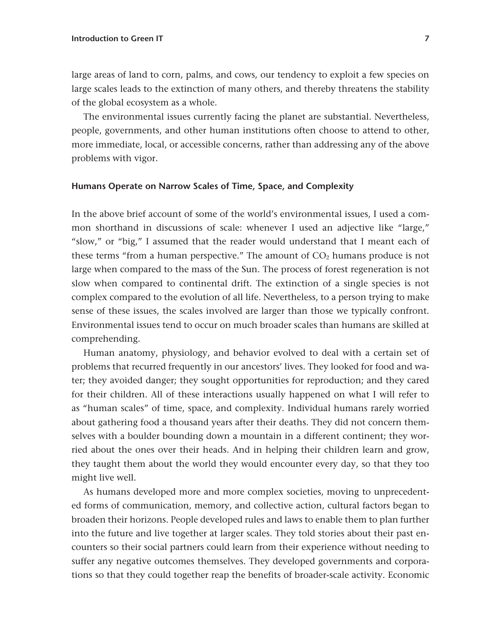large areas of land to corn, palms, and cows, our tendency to exploit a few species on large scales leads to the extinction of many others, and thereby threatens the stability of the global ecosystem as a whole.

The environmental issues currently facing the planet are substantial. Nevertheless, people, governments, and other human institutions often choose to attend to other, more immediate, local, or accessible concerns, rather than addressing any of the above problems with vigor.

#### **Humans Operate on Narrow Scales of Time, Space, and Complexity**

In the above brief account of some of the world's environmental issues, I used a common shorthand in discussions of scale: whenever I used an adjective like "large," "slow," or "big," I assumed that the reader would understand that I meant each of these terms "from a human perspective." The amount of  $CO<sub>2</sub>$  humans produce is not large when compared to the mass of the Sun. The process of forest regeneration is not slow when compared to continental drift. The extinction of a single species is not complex compared to the evolution of all life. Nevertheless, to a person trying to make sense of these issues, the scales involved are larger than those we typically confront. Environmental issues tend to occur on much broader scales than humans are skilled at comprehending.

Human anatomy, physiology, and behavior evolved to deal with a certain set of problems that recurred frequently in our ancestors' lives. They looked for food and water; they avoided danger; they sought opportunities for reproduction; and they cared for their children. All of these interactions usually happened on what I will refer to as "human scales" of time, space, and complexity. Individual humans rarely worried about gathering food a thousand years after their deaths. They did not concern themselves with a boulder bounding down a mountain in a different continent; they worried about the ones over their heads. And in helping their children learn and grow, they taught them about the world they would encounter every day, so that they too might live well.

As humans developed more and more complex societies, moving to unprecedented forms of communication, memory, and collective action, cultural factors began to broaden their horizons. People developed rules and laws to enable them to plan further into the future and live together at larger scales. They told stories about their past encounters so their social partners could learn from their experience without needing to suffer any negative outcomes themselves. They developed governments and corporations so that they could together reap the benefits of broader-scale activity. Economic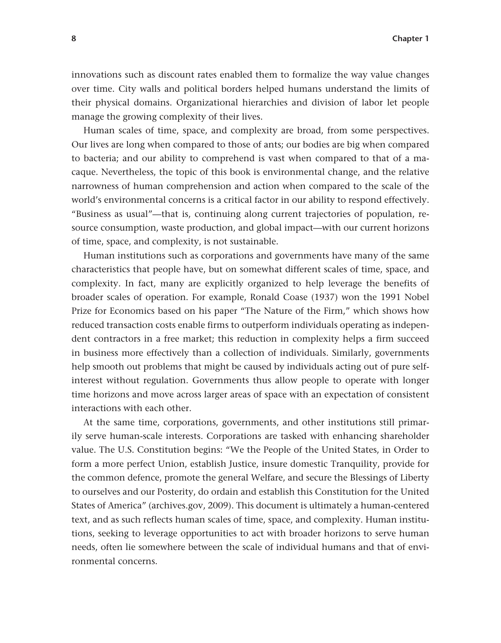innovations such as discount rates enabled them to formalize the way value changes over time. City walls and political borders helped humans understand the limits of their physical domains. Organizational hierarchies and division of labor let people manage the growing complexity of their lives.

Human scales of time, space, and complexity are broad, from some perspectives. Our lives are long when compared to those of ants; our bodies are big when compared to bacteria; and our ability to comprehend is vast when compared to that of a macaque. Nevertheless, the topic of this book is environmental change, and the relative narrowness of human comprehension and action when compared to the scale of the world's environmental concerns is a critical factor in our ability to respond effectively. "Business as usual"—that is, continuing along current trajectories of population, resource consumption, waste production, and global impact—with our current horizons of time, space, and complexity, is not sustainable.

Human institutions such as corporations and governments have many of the same characteristics that people have, but on somewhat different scales of time, space, and complexity. In fact, many are explicitly organized to help leverage the benefits of broader scales of operation. For example, Ronald Coase (1937) won the 1991 Nobel Prize for Economics based on his paper "The Nature of the Firm," which shows how reduced transaction costs enable firms to outperform individuals operating as independent contractors in a free market; this reduction in complexity helps a firm succeed in business more effectively than a collection of individuals. Similarly, governments help smooth out problems that might be caused by individuals acting out of pure selfinterest without regulation. Governments thus allow people to operate with longer time horizons and move across larger areas of space with an expectation of consistent interactions with each other.

At the same time, corporations, governments, and other institutions still primarily serve human-scale interests. Corporations are tasked with enhancing shareholder value. The U.S. Constitution begins: "We the People of the United States, in Order to form a more perfect Union, establish Justice, insure domestic Tranquility, provide for the common defence, promote the general Welfare, and secure the Blessings of Liberty to ourselves and our Posterity, do ordain and establish this Constitution for the United States of America" (archives.gov, 2009). This document is ultimately a human-centered text, and as such reflects human scales of time, space, and complexity. Human institutions, seeking to leverage opportunities to act with broader horizons to serve human needs, often lie somewhere between the scale of individual humans and that of environmental concerns.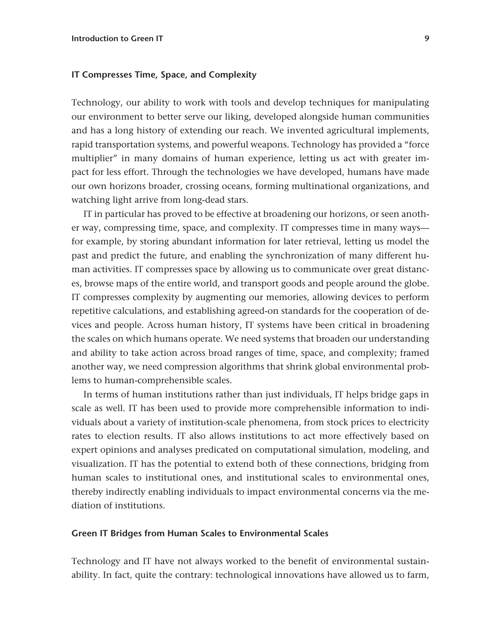# **IT Compresses Time, Space, and Complexity**

Technology, our ability to work with tools and develop techniques for manipulating our environment to better serve our liking, developed alongside human communities and has a long history of extending our reach. We invented agricultural implements, rapid transportation systems, and powerful weapons. Technology has provided a "force multiplier" in many domains of human experience, letting us act with greater impact for less effort. Through the technologies we have developed, humans have made our own horizons broader, crossing oceans, forming multinational organizations, and watching light arrive from long-dead stars.

IT in particular has proved to be effective at broadening our horizons, or seen another way, compressing time, space, and complexity. IT compresses time in many ways for example, by storing abundant information for later retrieval, letting us model the past and predict the future, and enabling the synchronization of many different human activities. IT compresses space by allowing us to communicate over great distances, browse maps of the entire world, and transport goods and people around the globe. IT compresses complexity by augmenting our memories, allowing devices to perform repetitive calculations, and establishing agreed-on standards for the cooperation of devices and people. Across human history, IT systems have been critical in broadening the scales on which humans operate. We need systems that broaden our understanding and ability to take action across broad ranges of time, space, and complexity; framed another way, we need compression algorithms that shrink global environmental problems to human-comprehensible scales.

In terms of human institutions rather than just individuals, IT helps bridge gaps in scale as well. IT has been used to provide more comprehensible information to individuals about a variety of institution-scale phenomena, from stock prices to electricity rates to election results. IT also allows institutions to act more effectively based on expert opinions and analyses predicated on computational simulation, modeling, and visualization. IT has the potential to extend both of these connections, bridging from human scales to institutional ones, and institutional scales to environmental ones, thereby indirectly enabling individuals to impact environmental concerns via the mediation of institutions.

#### **Green IT Bridges from Human Scales to Environmental Scales**

Technology and IT have not always worked to the benefit of environmental sustainability. In fact, quite the contrary: technological innovations have allowed us to farm,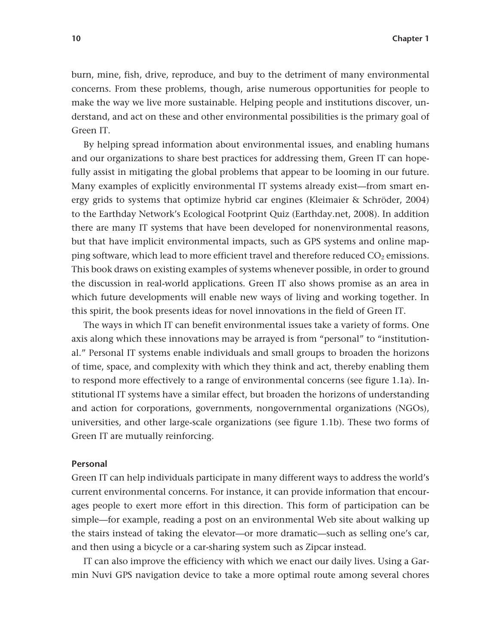burn, mine, fish, drive, reproduce, and buy to the detriment of many environmental concerns. From these problems, though, arise numerous opportunities for people to make the way we live more sustainable. Helping people and institutions discover, understand, and act on these and other environmental possibilities is the primary goal of Green IT.

By helping spread information about environmental issues, and enabling humans and our organizations to share best practices for addressing them, Green IT can hopefully assist in mitigating the global problems that appear to be looming in our future. Many examples of explicitly environmental IT systems already exist—from smart energy grids to systems that optimize hybrid car engines (Kleimaier & Schröder, 2004) to the Earthday Network's Ecological Footprint Quiz (Earthday.net, 2008). In addition there are many IT systems that have been developed for nonenvironmental reasons, but that have implicit environmental impacts, such as GPS systems and online mapping software, which lead to more efficient travel and therefore reduced  $CO<sub>2</sub>$  emissions. This book draws on existing examples of systems whenever possible, in order to ground the discussion in real-world applications. Green IT also shows promise as an area in which future developments will enable new ways of living and working together. In this spirit, the book presents ideas for novel innovations in the field of Green IT.

The ways in which IT can benefit environmental issues take a variety of forms. One axis along which these innovations may be arrayed is from "personal" to "institutional." Personal IT systems enable individuals and small groups to broaden the horizons of time, space, and complexity with which they think and act, thereby enabling them to respond more effectively to a range of environmental concerns (see figure 1.1a). Institutional IT systems have a similar effect, but broaden the horizons of understanding and action for corporations, governments, nongovernmental organizations (NGOs), universities, and other large-scale organizations (see figure 1.1b). These two forms of Green IT are mutually reinforcing.

# **Personal**

Green IT can help individuals participate in many different ways to address the world's current environmental concerns. For instance, it can provide information that encourages people to exert more effort in this direction. This form of participation can be simple—for example, reading a post on an environmental Web site about walking up the stairs instead of taking the elevator—or more dramatic—such as selling one's car, and then using a bicycle or a car-sharing system such as Zipcar instead.

IT can also improve the efficiency with which we enact our daily lives. Using a Garmin Nuvi GPS navigation device to take a more optimal route among several chores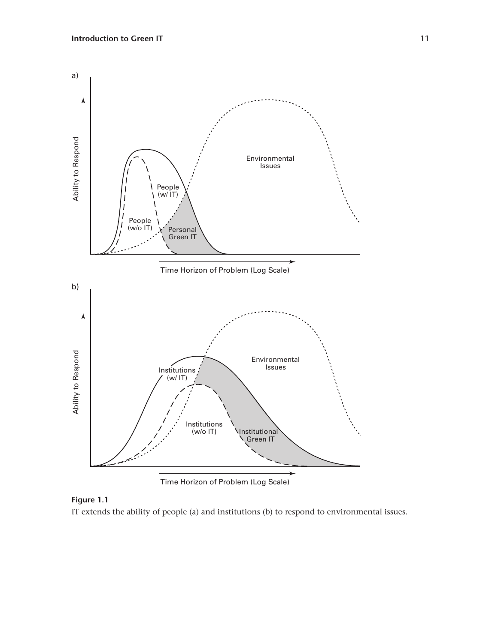



IT extends the ability of people (a) and institutions (b) to respond to environmental issues.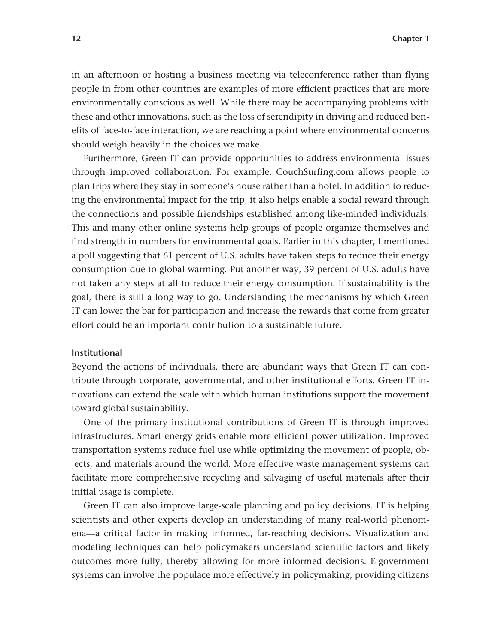in an afternoon or hosting a business meeting via teleconference rather than flying people in from other countries are examples of more efficient practices that are more environmentally conscious as well. While there may be accompanying problems with these and other innovations, such as the loss of serendipity in driving and reduced benefits of face-to-face interaction, we are reaching a point where environmental concerns should weigh heavily in the choices we make.

Furthermore, Green IT can provide opportunities to address environmental issues through improved collaboration. For example, CouchSurfing.com allows people to plan trips where they stay in someone's house rather than a hotel. In addition to reducing the environmental impact for the trip, it also helps enable a social reward through the connections and possible friendships established among like-minded individuals. This and many other online systems help groups of people organize themselves and find strength in numbers for environmental goals. Earlier in this chapter, I mentioned a poll suggesting that 61 percent of U.S. adults have taken steps to reduce their energy consumption due to global warming. Put another way, 39 percent of U.S. adults have not taken any steps at all to reduce their energy consumption. If sustainability is the goal, there is still a long way to go. Understanding the mechanisms by which Green IT can lower the bar for participation and increase the rewards that come from greater effort could be an important contribution to a sustainable future.

# **Institutional**

Beyond the actions of individuals, there are abundant ways that Green IT can contribute through corporate, governmental, and other institutional efforts. Green IT innovations can extend the scale with which human institutions support the movement toward global sustainability.

One of the primary institutional contributions of Green IT is through improved infrastructures. Smart energy grids enable more efficient power utilization. Improved transportation systems reduce fuel use while optimizing the movement of people, objects, and materials around the world. More effective waste management systems can facilitate more comprehensive recycling and salvaging of useful materials after their initial usage is complete.

Green IT can also improve large-scale planning and policy decisions. IT is helping scientists and other experts develop an understanding of many real-world phenomena—a critical factor in making informed, far-reaching decisions. Visualization and modeling techniques can help policymakers understand scientific factors and likely outcomes more fully, thereby allowing for more informed decisions. E-government systems can involve the populace more effectively in policymaking, providing citizens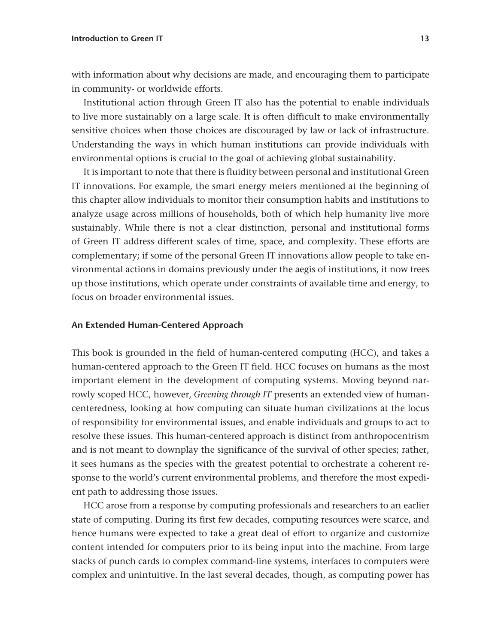#### **Introduction to Green IT 13**

with information about why decisions are made, and encouraging them to participate in community- or worldwide efforts.

Institutional action through Green IT also has the potential to enable individuals to live more sustainably on a large scale. It is often difficult to make environmentally sensitive choices when those choices are discouraged by law or lack of infrastructure. Understanding the ways in which human institutions can provide individuals with environmental options is crucial to the goal of achieving global sustainability.

It is important to note that there is fluidity between personal and institutional Green IT innovations. For example, the smart energy meters mentioned at the beginning of this chapter allow individuals to monitor their consumption habits and institutions to analyze usage across millions of households, both of which help humanity live more sustainably. While there is not a clear distinction, personal and institutional forms of Green IT address different scales of time, space, and complexity. These efforts are complementary; if some of the personal Green IT innovations allow people to take environmental actions in domains previously under the aegis of institutions, it now frees up those institutions, which operate under constraints of available time and energy, to focus on broader environmental issues.

#### **An Extended Human-Centered Approach**

This book is grounded in the field of human-centered computing (HCC), and takes a human-centered approach to the Green IT field. HCC focuses on humans as the most important element in the development of computing systems. Moving beyond narrowly scoped HCC, however, *Greening through IT* presents an extended view of humancenteredness, looking at how computing can situate human civilizations at the locus of responsibility for environmental issues, and enable individuals and groups to act to resolve these issues. This human-centered approach is distinct from anthropocentrism and is not meant to downplay the significance of the survival of other species; rather, it sees humans as the species with the greatest potential to orchestrate a coherent response to the world's current environmental problems, and therefore the most expedient path to addressing those issues.

HCC arose from a response by computing professionals and researchers to an earlier state of computing. During its first few decades, computing resources were scarce, and hence humans were expected to take a great deal of effort to organize and customize content intended for computers prior to its being input into the machine. From large stacks of punch cards to complex command-line systems, interfaces to computers were complex and unintuitive. In the last several decades, though, as computing power has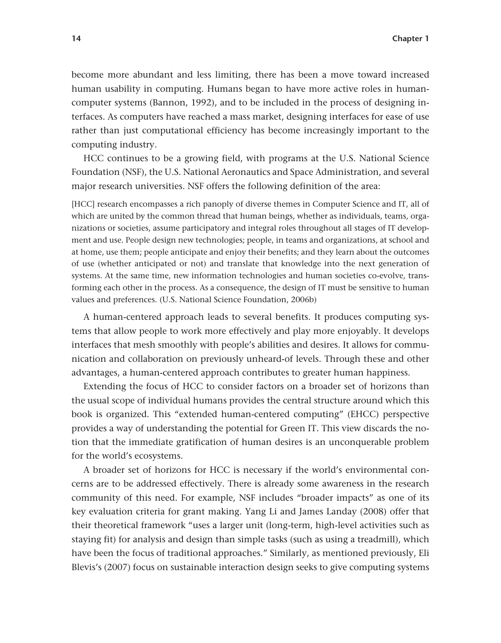become more abundant and less limiting, there has been a move toward increased human usability in computing. Humans began to have more active roles in humancomputer systems (Bannon, 1992), and to be included in the process of designing interfaces. As computers have reached a mass market, designing interfaces for ease of use rather than just computational efficiency has become increasingly important to the computing industry.

HCC continues to be a growing field, with programs at the U.S. National Science Foundation (NSF), the U.S. National Aeronautics and Space Administration, and several major research universities. NSF offers the following definition of the area:

[HCC] research encompasses a rich panoply of diverse themes in Computer Science and IT, all of which are united by the common thread that human beings, whether as individuals, teams, organizations or societies, assume participatory and integral roles throughout all stages of IT development and use. People design new technologies; people, in teams and organizations, at school and at home, use them; people anticipate and enjoy their benefits; and they learn about the outcomes of use (whether anticipated or not) and translate that knowledge into the next generation of systems. At the same time, new information technologies and human societies co-evolve, transforming each other in the process. As a consequence, the design of IT must be sensitive to human values and preferences. (U.S. National Science Foundation, 2006b)

A human-centered approach leads to several benefits. It produces computing systems that allow people to work more effectively and play more enjoyably. It develops interfaces that mesh smoothly with people's abilities and desires. It allows for communication and collaboration on previously unheard-of levels. Through these and other advantages, a human-centered approach contributes to greater human happiness.

Extending the focus of HCC to consider factors on a broader set of horizons than the usual scope of individual humans provides the central structure around which this book is organized. This "extended human-centered computing" (EHCC) perspective provides a way of understanding the potential for Green IT. This view discards the notion that the immediate gratification of human desires is an unconquerable problem for the world's ecosystems.

A broader set of horizons for HCC is necessary if the world's environmental concerns are to be addressed effectively. There is already some awareness in the research community of this need. For example, NSF includes "broader impacts" as one of its key evaluation criteria for grant making. Yang Li and James Landay (2008) offer that their theoretical framework "uses a larger unit (long-term, high-level activities such as staying fit) for analysis and design than simple tasks (such as using a treadmill), which have been the focus of traditional approaches." Similarly, as mentioned previously, Eli Blevis's (2007) focus on sustainable interaction design seeks to give computing systems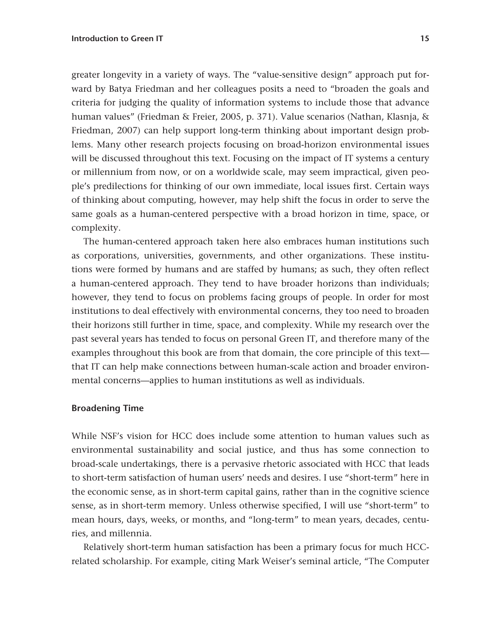greater longevity in a variety of ways. The "value-sensitive design" approach put forward by Batya Friedman and her colleagues posits a need to "broaden the goals and criteria for judging the quality of information systems to include those that advance human values" (Friedman & Freier, 2005, p. 371). Value scenarios (Nathan, Klasnja, & Friedman, 2007) can help support long-term thinking about important design problems. Many other research projects focusing on broad-horizon environmental issues will be discussed throughout this text. Focusing on the impact of IT systems a century or millennium from now, or on a worldwide scale, may seem impractical, given people's predilections for thinking of our own immediate, local issues first. Certain ways of thinking about computing, however, may help shift the focus in order to serve the same goals as a human-centered perspective with a broad horizon in time, space, or complexity.

The human-centered approach taken here also embraces human institutions such as corporations, universities, governments, and other organizations. These institutions were formed by humans and are staffed by humans; as such, they often reflect a human-centered approach. They tend to have broader horizons than individuals; however, they tend to focus on problems facing groups of people. In order for most institutions to deal effectively with environmental concerns, they too need to broaden their horizons still further in time, space, and complexity. While my research over the past several years has tended to focus on personal Green IT, and therefore many of the examples throughout this book are from that domain, the core principle of this text that IT can help make connections between human-scale action and broader environmental concerns—applies to human institutions as well as individuals.

#### **Broadening Time**

While NSF's vision for HCC does include some attention to human values such as environmental sustainability and social justice, and thus has some connection to broad-scale undertakings, there is a pervasive rhetoric associated with HCC that leads to short-term satisfaction of human users' needs and desires. I use "short-term" here in the economic sense, as in short-term capital gains, rather than in the cognitive science sense, as in short-term memory. Unless otherwise specified, I will use "short-term" to mean hours, days, weeks, or months, and "long-term" to mean years, decades, centuries, and millennia.

Relatively short-term human satisfaction has been a primary focus for much HCCrelated scholarship. For example, citing Mark Weiser's seminal article, "The Computer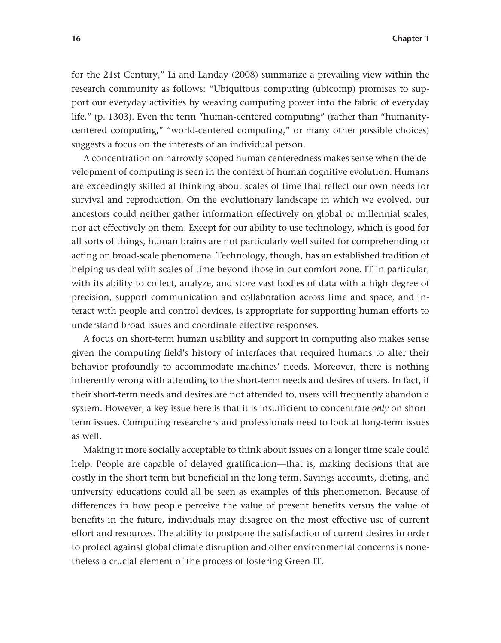for the 21st Century," Li and Landay (2008) summarize a prevailing view within the research community as follows: "Ubiquitous computing (ubicomp) promises to support our everyday activities by weaving computing power into the fabric of everyday life." (p. 1303). Even the term "human-centered computing" (rather than "humanitycentered computing," "world-centered computing," or many other possible choices) suggests a focus on the interests of an individual person.

A concentration on narrowly scoped human centeredness makes sense when the development of computing is seen in the context of human cognitive evolution. Humans are exceedingly skilled at thinking about scales of time that reflect our own needs for survival and reproduction. On the evolutionary landscape in which we evolved, our ancestors could neither gather information effectively on global or millennial scales, nor act effectively on them. Except for our ability to use technology, which is good for all sorts of things, human brains are not particularly well suited for comprehending or acting on broad-scale phenomena. Technology, though, has an established tradition of helping us deal with scales of time beyond those in our comfort zone. IT in particular, with its ability to collect, analyze, and store vast bodies of data with a high degree of precision, support communication and collaboration across time and space, and interact with people and control devices, is appropriate for supporting human efforts to understand broad issues and coordinate effective responses.

A focus on short-term human usability and support in computing also makes sense given the computing field's history of interfaces that required humans to alter their behavior profoundly to accommodate machines' needs. Moreover, there is nothing inherently wrong with attending to the short-term needs and desires of users. In fact, if their short-term needs and desires are not attended to, users will frequently abandon a system. However, a key issue here is that it is insufficient to concentrate *only* on shortterm issues. Computing researchers and professionals need to look at long-term issues as well.

Making it more socially acceptable to think about issues on a longer time scale could help. People are capable of delayed gratification—that is, making decisions that are costly in the short term but beneficial in the long term. Savings accounts, dieting, and university educations could all be seen as examples of this phenomenon. Because of differences in how people perceive the value of present benefits versus the value of benefits in the future, individuals may disagree on the most effective use of current effort and resources. The ability to postpone the satisfaction of current desires in order to protect against global climate disruption and other environmental concerns is nonetheless a crucial element of the process of fostering Green IT.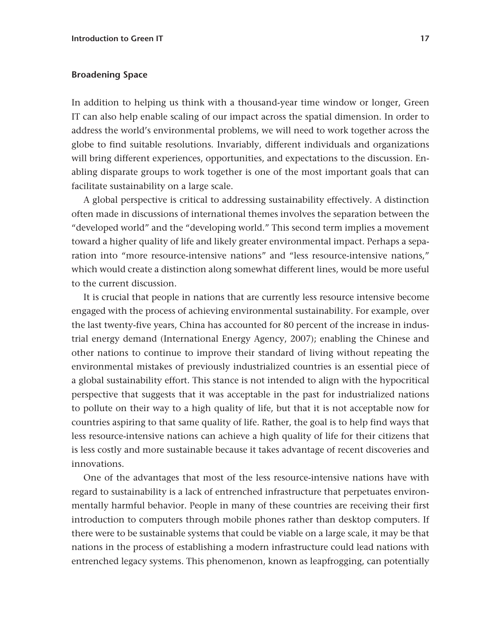## **Broadening Space**

In addition to helping us think with a thousand-year time window or longer, Green IT can also help enable scaling of our impact across the spatial dimension. In order to address the world's environmental problems, we will need to work together across the globe to find suitable resolutions. Invariably, different individuals and organizations will bring different experiences, opportunities, and expectations to the discussion. Enabling disparate groups to work together is one of the most important goals that can facilitate sustainability on a large scale.

A global perspective is critical to addressing sustainability effectively. A distinction often made in discussions of international themes involves the separation between the "developed world" and the "developing world." This second term implies a movement toward a higher quality of life and likely greater environmental impact. Perhaps a separation into "more resource-intensive nations" and "less resource-intensive nations," which would create a distinction along somewhat different lines, would be more useful to the current discussion.

It is crucial that people in nations that are currently less resource intensive become engaged with the process of achieving environmental sustainability. For example, over the last twenty-five years, China has accounted for 80 percent of the increase in industrial energy demand (International Energy Agency, 2007); enabling the Chinese and other nations to continue to improve their standard of living without repeating the environmental mistakes of previously industrialized countries is an essential piece of a global sustainability effort. This stance is not intended to align with the hypocritical perspective that suggests that it was acceptable in the past for industrialized nations to pollute on their way to a high quality of life, but that it is not acceptable now for countries aspiring to that same quality of life. Rather, the goal is to help find ways that less resource-intensive nations can achieve a high quality of life for their citizens that is less costly and more sustainable because it takes advantage of recent discoveries and innovations.

One of the advantages that most of the less resource-intensive nations have with regard to sustainability is a lack of entrenched infrastructure that perpetuates environmentally harmful behavior. People in many of these countries are receiving their first introduction to computers through mobile phones rather than desktop computers. If there were to be sustainable systems that could be viable on a large scale, it may be that nations in the process of establishing a modern infrastructure could lead nations with entrenched legacy systems. This phenomenon, known as leapfrogging, can potentially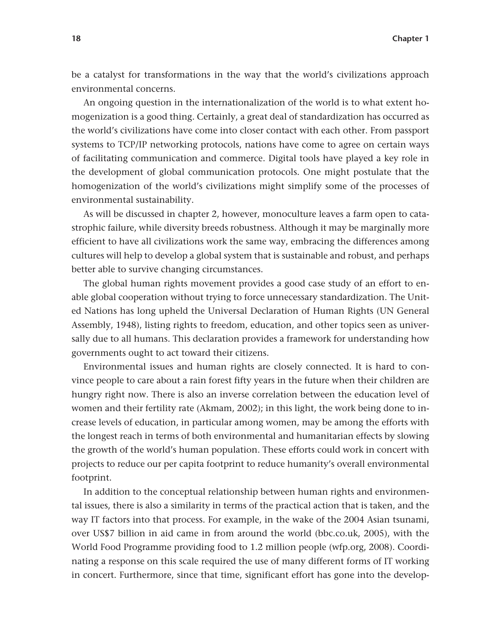be a catalyst for transformations in the way that the world's civilizations approach environmental concerns.

An ongoing question in the internationalization of the world is to what extent homogenization is a good thing. Certainly, a great deal of standardization has occurred as the world's civilizations have come into closer contact with each other. From passport systems to TCP/IP networking protocols, nations have come to agree on certain ways of facilitating communication and commerce. Digital tools have played a key role in the development of global communication protocols. One might postulate that the homogenization of the world's civilizations might simplify some of the processes of environmental sustainability.

As will be discussed in chapter 2, however, monoculture leaves a farm open to catastrophic failure, while diversity breeds robustness. Although it may be marginally more efficient to have all civilizations work the same way, embracing the differences among cultures will help to develop a global system that is sustainable and robust, and perhaps better able to survive changing circumstances.

The global human rights movement provides a good case study of an effort to enable global cooperation without trying to force unnecessary standardization. The United Nations has long upheld the Universal Declaration of Human Rights (UN General Assembly, 1948), listing rights to freedom, education, and other topics seen as universally due to all humans. This declaration provides a framework for understanding how governments ought to act toward their citizens.

Environmental issues and human rights are closely connected. It is hard to convince people to care about a rain forest fifty years in the future when their children are hungry right now. There is also an inverse correlation between the education level of women and their fertility rate (Akmam, 2002); in this light, the work being done to increase levels of education, in particular among women, may be among the efforts with the longest reach in terms of both environmental and humanitarian effects by slowing the growth of the world's human population. These efforts could work in concert with projects to reduce our per capita footprint to reduce humanity's overall environmental footprint.

In addition to the conceptual relationship between human rights and environmental issues, there is also a similarity in terms of the practical action that is taken, and the way IT factors into that process. For example, in the wake of the 2004 Asian tsunami, over US\$7 billion in aid came in from around the world (bbc.co.uk, 2005), with the World Food Programme providing food to 1.2 million people (wfp.org, 2008). Coordinating a response on this scale required the use of many different forms of IT working in concert. Furthermore, since that time, significant effort has gone into the develop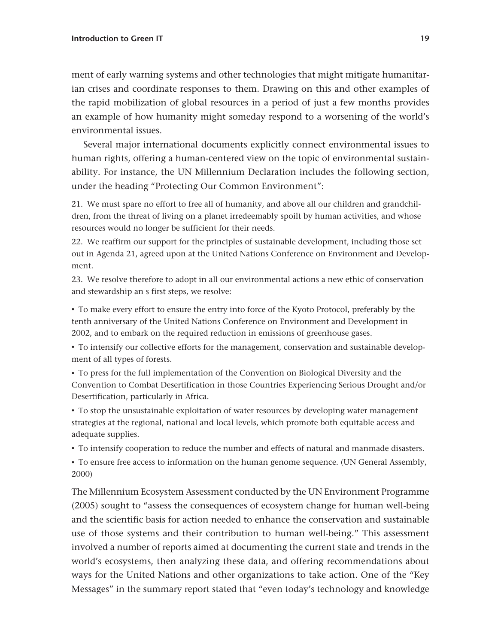ment of early warning systems and other technologies that might mitigate humanitarian crises and coordinate responses to them. Drawing on this and other examples of the rapid mobilization of global resources in a period of just a few months provides an example of how humanity might someday respond to a worsening of the world's environmental issues.

Several major international documents explicitly connect environmental issues to human rights, offering a human-centered view on the topic of environmental sustainability. For instance, the UN Millennium Declaration includes the following section, under the heading "Protecting Our Common Environment":

21. We must spare no effort to free all of humanity, and above all our children and grandchildren, from the threat of living on a planet irredeemably spoilt by human activities, and whose resources would no longer be sufficient for their needs.

22. We reaffirm our support for the principles of sustainable development, including those set out in Agenda 21, agreed upon at the United Nations Conference on Environment and Development.

23. We resolve therefore to adopt in all our environmental actions a new ethic of conservation and stewardship an s first steps, we resolve:

• To make every effort to ensure the entry into force of the Kyoto Protocol, preferably by the tenth anniversary of the United Nations Conference on Environment and Development in 2002, and to embark on the required reduction in emissions of greenhouse gases.

• To intensify our collective efforts for the management, conservation and sustainable development of all types of forests.

• To press for the full implementation of the Convention on Biological Diversity and the Convention to Combat Desertification in those Countries Experiencing Serious Drought and/or Desertification, particularly in Africa.

• To stop the unsustainable exploitation of water resources by developing water management strategies at the regional, national and local levels, which promote both equitable access and adequate supplies.

• To intensify cooperation to reduce the number and effects of natural and manmade disasters.

• To ensure free access to information on the human genome sequence. (UN General Assembly, 2000)

The Millennium Ecosystem Assessment conducted by the UN Environment Programme (2005) sought to "assess the consequences of ecosystem change for human well-being and the scientific basis for action needed to enhance the conservation and sustainable use of those systems and their contribution to human well-being." This assessment involved a number of reports aimed at documenting the current state and trends in the world's ecosystems, then analyzing these data, and offering recommendations about ways for the United Nations and other organizations to take action. One of the "Key Messages" in the summary report stated that "even today's technology and knowledge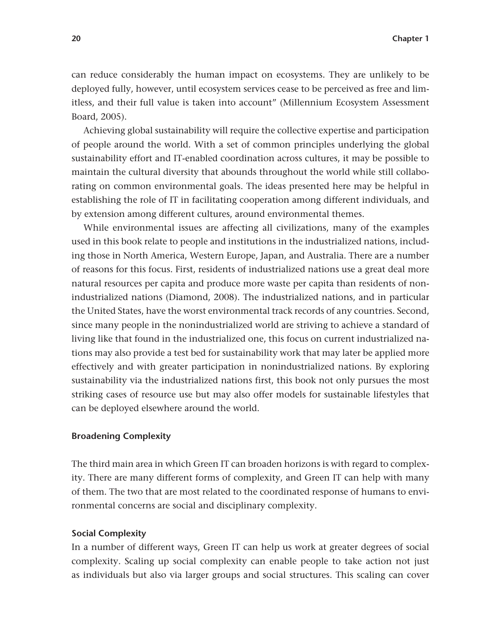can reduce considerably the human impact on ecosystems. They are unlikely to be deployed fully, however, until ecosystem services cease to be perceived as free and limitless, and their full value is taken into account" (Millennium Ecosystem Assessment Board, 2005).

Achieving global sustainability will require the collective expertise and participation of people around the world. With a set of common principles underlying the global sustainability effort and IT-enabled coordination across cultures, it may be possible to maintain the cultural diversity that abounds throughout the world while still collaborating on common environmental goals. The ideas presented here may be helpful in establishing the role of IT in facilitating cooperation among different individuals, and by extension among different cultures, around environmental themes.

While environmental issues are affecting all civilizations, many of the examples used in this book relate to people and institutions in the industrialized nations, including those in North America, Western Europe, Japan, and Australia. There are a number of reasons for this focus. First, residents of industrialized nations use a great deal more natural resources per capita and produce more waste per capita than residents of nonindustrialized nations (Diamond, 2008). The industrialized nations, and in particular the United States, have the worst environmental track records of any countries. Second, since many people in the nonindustrialized world are striving to achieve a standard of living like that found in the industrialized one, this focus on current industrialized nations may also provide a test bed for sustainability work that may later be applied more effectively and with greater participation in nonindustrialized nations. By exploring sustainability via the industrialized nations first, this book not only pursues the most striking cases of resource use but may also offer models for sustainable lifestyles that can be deployed elsewhere around the world.

# **Broadening Complexity**

The third main area in which Green IT can broaden horizons is with regard to complexity. There are many different forms of complexity, and Green IT can help with many of them. The two that are most related to the coordinated response of humans to environmental concerns are social and disciplinary complexity.

# **Social Complexity**

In a number of different ways, Green IT can help us work at greater degrees of social complexity. Scaling up social complexity can enable people to take action not just as individuals but also via larger groups and social structures. This scaling can cover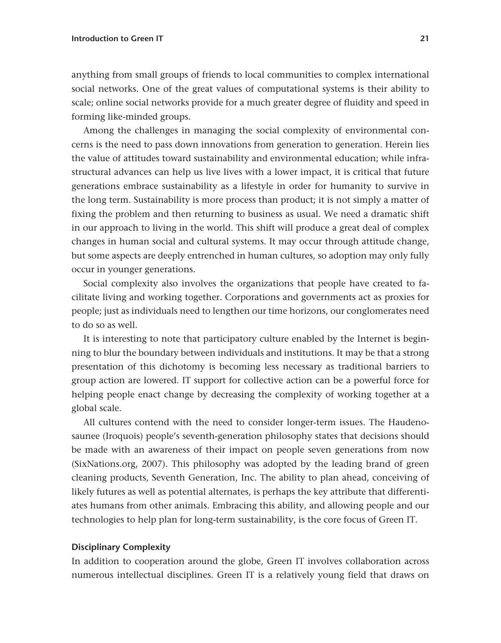#### **Introduction to Green IT 21**

anything from small groups of friends to local communities to complex international social networks. One of the great values of computational systems is their ability to scale; online social networks provide for a much greater degree of fluidity and speed in forming like-minded groups.

Among the challenges in managing the social complexity of environmental concerns is the need to pass down innovations from generation to generation. Herein lies the value of attitudes toward sustainability and environmental education; while infrastructural advances can help us live lives with a lower impact, it is critical that future generations embrace sustainability as a lifestyle in order for humanity to survive in the long term. Sustainability is more process than product; it is not simply a matter of fixing the problem and then returning to business as usual. We need a dramatic shift in our approach to living in the world. This shift will produce a great deal of complex changes in human social and cultural systems. It may occur through attitude change, but some aspects are deeply entrenched in human cultures, so adoption may only fully occur in younger generations.

Social complexity also involves the organizations that people have created to facilitate living and working together. Corporations and governments act as proxies for people; just as individuals need to lengthen our time horizons, our conglomerates need to do so as well.

It is interesting to note that participatory culture enabled by the Internet is beginning to blur the boundary between individuals and institutions. It may be that a strong presentation of this dichotomy is becoming less necessary as traditional barriers to group action are lowered. IT support for collective action can be a powerful force for helping people enact change by decreasing the complexity of working together at a global scale.

All cultures contend with the need to consider longer-term issues. The Haudenosaunee (Iroquois) people's seventh-generation philosophy states that decisions should be made with an awareness of their impact on people seven generations from now (SixNations.org, 2007). This philosophy was adopted by the leading brand of green cleaning products, Seventh Generation, Inc. The ability to plan ahead, conceiving of likely futures as well as potential alternates, is perhaps the key attribute that differentiates humans from other animals. Embracing this ability, and allowing people and our technologies to help plan for long-term sustainability, is the core focus of Green IT.

# **Disciplinary Complexity**

In addition to cooperation around the globe, Green IT involves collaboration across numerous intellectual disciplines. Green IT is a relatively young field that draws on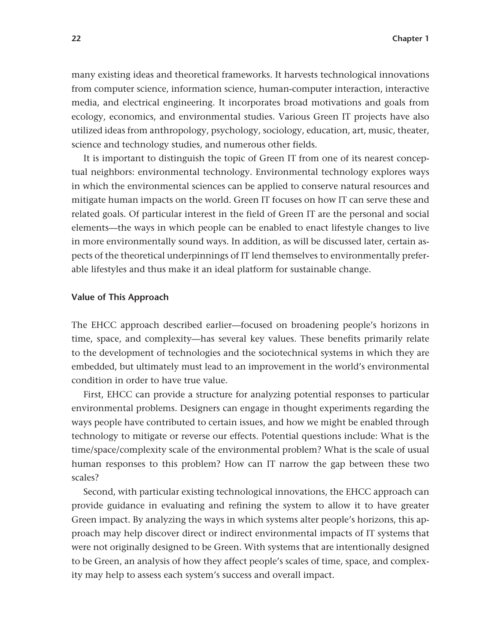many existing ideas and theoretical frameworks. It harvests technological innovations from computer science, information science, human-computer interaction, interactive media, and electrical engineering. It incorporates broad motivations and goals from ecology, economics, and environmental studies. Various Green IT projects have also utilized ideas from anthropology, psychology, sociology, education, art, music, theater, science and technology studies, and numerous other fields.

It is important to distinguish the topic of Green IT from one of its nearest conceptual neighbors: environmental technology. Environmental technology explores ways in which the environmental sciences can be applied to conserve natural resources and mitigate human impacts on the world. Green IT focuses on how IT can serve these and related goals. Of particular interest in the field of Green IT are the personal and social elements—the ways in which people can be enabled to enact lifestyle changes to live in more environmentally sound ways. In addition, as will be discussed later, certain aspects of the theoretical underpinnings of IT lend themselves to environmentally preferable lifestyles and thus make it an ideal platform for sustainable change.

# **Value of This Approach**

The EHCC approach described earlier—focused on broadening people's horizons in time, space, and complexity—has several key values. These benefits primarily relate to the development of technologies and the sociotechnical systems in which they are embedded, but ultimately must lead to an improvement in the world's environmental condition in order to have true value.

First, EHCC can provide a structure for analyzing potential responses to particular environmental problems. Designers can engage in thought experiments regarding the ways people have contributed to certain issues, and how we might be enabled through technology to mitigate or reverse our effects. Potential questions include: What is the time/space/complexity scale of the environmental problem? What is the scale of usual human responses to this problem? How can IT narrow the gap between these two scales?

Second, with particular existing technological innovations, the EHCC approach can provide guidance in evaluating and refining the system to allow it to have greater Green impact. By analyzing the ways in which systems alter people's horizons, this approach may help discover direct or indirect environmental impacts of IT systems that were not originally designed to be Green. With systems that are intentionally designed to be Green, an analysis of how they affect people's scales of time, space, and complexity may help to assess each system's success and overall impact.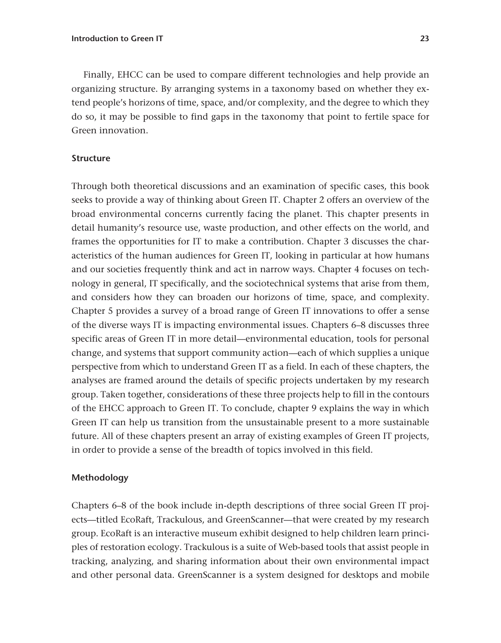Finally, EHCC can be used to compare different technologies and help provide an organizing structure. By arranging systems in a taxonomy based on whether they extend people's horizons of time, space, and/or complexity, and the degree to which they do so, it may be possible to find gaps in the taxonomy that point to fertile space for Green innovation.

## **Structure**

Through both theoretical discussions and an examination of specific cases, this book seeks to provide a way of thinking about Green IT. Chapter 2 offers an overview of the broad environmental concerns currently facing the planet. This chapter presents in detail humanity's resource use, waste production, and other effects on the world, and frames the opportunities for IT to make a contribution. Chapter 3 discusses the characteristics of the human audiences for Green IT, looking in particular at how humans and our societies frequently think and act in narrow ways. Chapter 4 focuses on technology in general, IT specifically, and the sociotechnical systems that arise from them, and considers how they can broaden our horizons of time, space, and complexity. Chapter 5 provides a survey of a broad range of Green IT innovations to offer a sense of the diverse ways IT is impacting environmental issues. Chapters 6–8 discusses three specific areas of Green IT in more detail—environmental education, tools for personal change, and systems that support community action—each of which supplies a unique perspective from which to understand Green IT as a field. In each of these chapters, the analyses are framed around the details of specific projects undertaken by my research group. Taken together, considerations of these three projects help to fill in the contours of the EHCC approach to Green IT. To conclude, chapter 9 explains the way in which Green IT can help us transition from the unsustainable present to a more sustainable future. All of these chapters present an array of existing examples of Green IT projects, in order to provide a sense of the breadth of topics involved in this field.

#### **Methodology**

Chapters 6–8 of the book include in-depth descriptions of three social Green IT projects—titled EcoRaft, Trackulous, and GreenScanner—that were created by my research group. EcoRaft is an interactive museum exhibit designed to help children learn principles of restoration ecology. Trackulous is a suite of Web-based tools that assist people in tracking, analyzing, and sharing information about their own environmental impact and other personal data. GreenScanner is a system designed for desktops and mobile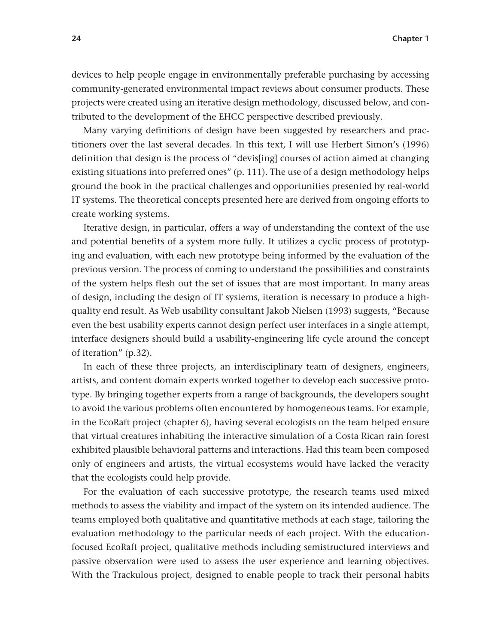devices to help people engage in environmentally preferable purchasing by accessing community-generated environmental impact reviews about consumer products. These projects were created using an iterative design methodology, discussed below, and contributed to the development of the EHCC perspective described previously.

Many varying definitions of design have been suggested by researchers and practitioners over the last several decades. In this text, I will use Herbert Simon's (1996) definition that design is the process of "devis[ing] courses of action aimed at changing existing situations into preferred ones" (p. 111). The use of a design methodology helps ground the book in the practical challenges and opportunities presented by real-world IT systems. The theoretical concepts presented here are derived from ongoing efforts to create working systems.

Iterative design, in particular, offers a way of understanding the context of the use and potential benefits of a system more fully. It utilizes a cyclic process of prototyping and evaluation, with each new prototype being informed by the evaluation of the previous version. The process of coming to understand the possibilities and constraints of the system helps flesh out the set of issues that are most important. In many areas of design, including the design of IT systems, iteration is necessary to produce a highquality end result. As Web usability consultant Jakob Nielsen (1993) suggests, "Because even the best usability experts cannot design perfect user interfaces in a single attempt, interface designers should build a usability-engineering life cycle around the concept of iteration" (p.32).

In each of these three projects, an interdisciplinary team of designers, engineers, artists, and content domain experts worked together to develop each successive prototype. By bringing together experts from a range of backgrounds, the developers sought to avoid the various problems often encountered by homogeneous teams. For example, in the EcoRaft project (chapter 6), having several ecologists on the team helped ensure that virtual creatures inhabiting the interactive simulation of a Costa Rican rain forest exhibited plausible behavioral patterns and interactions. Had this team been composed only of engineers and artists, the virtual ecosystems would have lacked the veracity that the ecologists could help provide.

For the evaluation of each successive prototype, the research teams used mixed methods to assess the viability and impact of the system on its intended audience. The teams employed both qualitative and quantitative methods at each stage, tailoring the evaluation methodology to the particular needs of each project. With the educationfocused EcoRaft project, qualitative methods including semistructured interviews and passive observation were used to assess the user experience and learning objectives. With the Trackulous project, designed to enable people to track their personal habits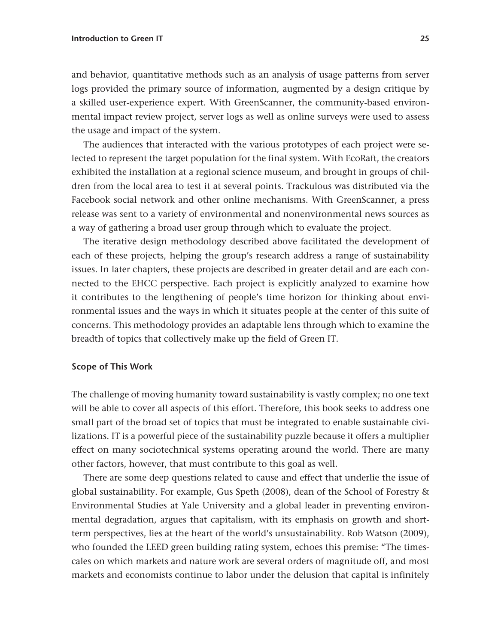#### **Introduction to Green IT 25**

and behavior, quantitative methods such as an analysis of usage patterns from server logs provided the primary source of information, augmented by a design critique by a skilled user-experience expert. With GreenScanner, the community-based environmental impact review project, server logs as well as online surveys were used to assess the usage and impact of the system.

The audiences that interacted with the various prototypes of each project were selected to represent the target population for the final system. With EcoRaft, the creators exhibited the installation at a regional science museum, and brought in groups of children from the local area to test it at several points. Trackulous was distributed via the Facebook social network and other online mechanisms. With GreenScanner, a press release was sent to a variety of environmental and nonenvironmental news sources as a way of gathering a broad user group through which to evaluate the project.

The iterative design methodology described above facilitated the development of each of these projects, helping the group's research address a range of sustainability issues. In later chapters, these projects are described in greater detail and are each connected to the EHCC perspective. Each project is explicitly analyzed to examine how it contributes to the lengthening of people's time horizon for thinking about environmental issues and the ways in which it situates people at the center of this suite of concerns. This methodology provides an adaptable lens through which to examine the breadth of topics that collectively make up the field of Green IT.

#### **Scope of This Work**

The challenge of moving humanity toward sustainability is vastly complex; no one text will be able to cover all aspects of this effort. Therefore, this book seeks to address one small part of the broad set of topics that must be integrated to enable sustainable civilizations. IT is a powerful piece of the sustainability puzzle because it offers a multiplier effect on many sociotechnical systems operating around the world. There are many other factors, however, that must contribute to this goal as well.

There are some deep questions related to cause and effect that underlie the issue of global sustainability. For example, Gus Speth (2008), dean of the School of Forestry & Environmental Studies at Yale University and a global leader in preventing environmental degradation, argues that capitalism, with its emphasis on growth and shortterm perspectives, lies at the heart of the world's unsustainability. Rob Watson (2009), who founded the LEED green building rating system, echoes this premise: "The timescales on which markets and nature work are several orders of magnitude off, and most markets and economists continue to labor under the delusion that capital is infinitely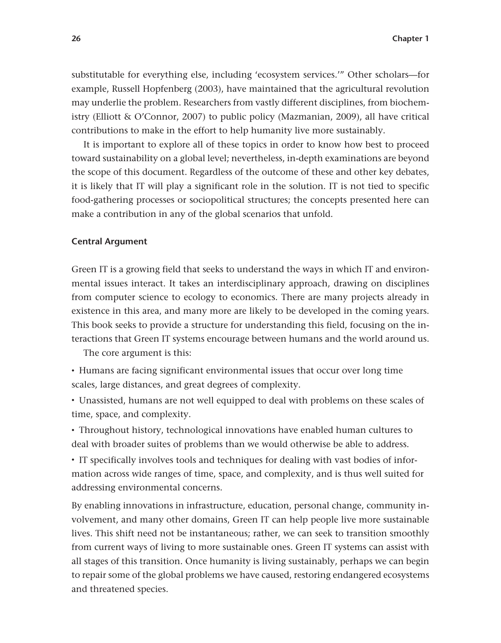substitutable for everything else, including 'ecosystem services.'" Other scholars—for example, Russell Hopfenberg (2003), have maintained that the agricultural revolution may underlie the problem. Researchers from vastly different disciplines, from biochemistry (Elliott & O'Connor, 2007) to public policy (Mazmanian, 2009), all have critical contributions to make in the effort to help humanity live more sustainably.

It is important to explore all of these topics in order to know how best to proceed toward sustainability on a global level; nevertheless, in-depth examinations are beyond the scope of this document. Regardless of the outcome of these and other key debates, it is likely that IT will play a significant role in the solution. IT is not tied to specific food-gathering processes or sociopolitical structures; the concepts presented here can make a contribution in any of the global scenarios that unfold.

#### **Central Argument**

Green IT is a growing field that seeks to understand the ways in which IT and environmental issues interact. It takes an interdisciplinary approach, drawing on disciplines from computer science to ecology to economics. There are many projects already in existence in this area, and many more are likely to be developed in the coming years. This book seeks to provide a structure for understanding this field, focusing on the interactions that Green IT systems encourage between humans and the world around us.

The core argument is this:

- Humans are facing significant environmental issues that occur over long time scales, large distances, and great degrees of complexity.
- Unassisted, humans are not well equipped to deal with problems on these scales of time, space, and complexity.
- Throughout history, technological innovations have enabled human cultures to deal with broader suites of problems than we would otherwise be able to address.

• IT specifically involves tools and techniques for dealing with vast bodies of information across wide ranges of time, space, and complexity, and is thus well suited for addressing environmental concerns.

By enabling innovations in infrastructure, education, personal change, community involvement, and many other domains, Green IT can help people live more sustainable lives. This shift need not be instantaneous; rather, we can seek to transition smoothly from current ways of living to more sustainable ones. Green IT systems can assist with all stages of this transition. Once humanity is living sustainably, perhaps we can begin to repair some of the global problems we have caused, restoring endangered ecosystems and threatened species.